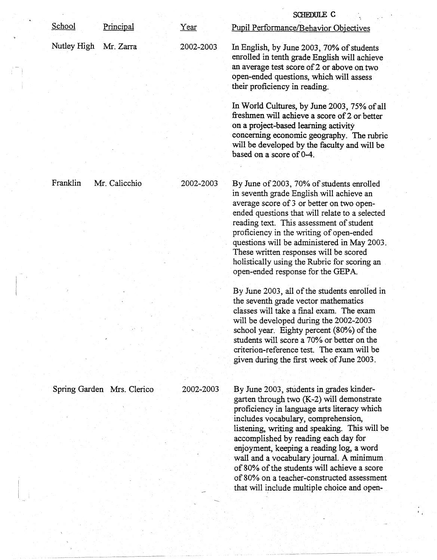| <b>Pupil Performance/Behavior Objectives</b>                                                                                                                                                                                                                                                                                                                                                                                                                                                              |
|-----------------------------------------------------------------------------------------------------------------------------------------------------------------------------------------------------------------------------------------------------------------------------------------------------------------------------------------------------------------------------------------------------------------------------------------------------------------------------------------------------------|
| In English, by June 2003, 70% of students<br>enrolled in tenth grade English will achieve<br>an average test score of 2 or above on two<br>open-ended questions, which will assess<br>their proficiency in reading.                                                                                                                                                                                                                                                                                       |
| In World Cultures, by June 2003, 75% of all<br>freshmen will achieve a score of 2 or better<br>on a project-based learning activity<br>concerning economic geography. The rubric<br>will be developed by the faculty and will be<br>based on a score of 0-4.                                                                                                                                                                                                                                              |
| By June of 2003, 70% of students enrolled<br>in seventh grade English will achieve an<br>average score of 3 or better on two open-<br>ended questions that will relate to a selected<br>reading text. This assessment of student<br>proficiency in the writing of open-ended<br>questions will be administered in May 2003.<br>These written responses will be scored<br>holistically using the Rubric for scoring an<br>open-ended response for the GEPA.                                                |
| By June 2003, all of the students enrolled in<br>the seventh grade vector mathematics<br>classes will take a final exam. The exam<br>will be developed during the 2002-2003<br>school year. Eighty percent (80%) of the<br>students will score a 70% or better on the<br>criterion-reference test. The exam will be<br>given during the first week of June 2003.                                                                                                                                          |
| By June 2003, students in grades kinder-<br>garten through two (K-2) will demonstrate<br>proficiency in language arts literacy which<br>includes vocabulary, comprehension,<br>listening, writing and speaking. This will be<br>accomplished by reading each day for<br>enjoyment, keeping a reading log, a word<br>wall and a vocabulary journal. A minimum.<br>of 80% of the students will achieve a score<br>of 80% on a teacher-constructed assessment<br>that will include multiple choice and open- |
|                                                                                                                                                                                                                                                                                                                                                                                                                                                                                                           |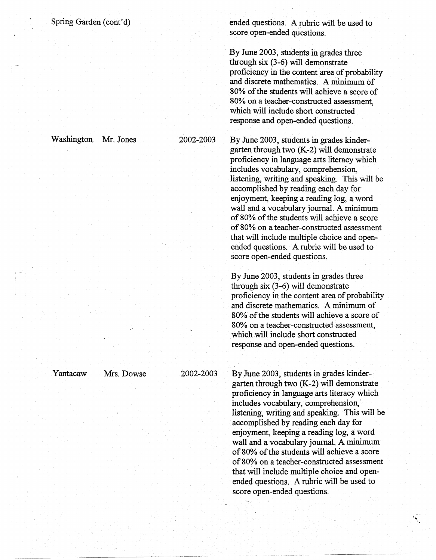Washington Mr. Jones 2002-2003

Yantacaw Mrs. Dowse 2002-2003

ended questions. A rubric will be used to score open-ended questions.

By June 2003, students in grades three through six (3-6) will demonstrate proficiency in the content area of probability and discrete mathematics. A minimum of 80% of the students will achieve a score of 80% on a teacher-constructed assessment, which will include short constructed response and open-ended questions.

By June 2003, students in grades kindergarten through two (K-2) will demonstrate proficiency in language arts literacy which includes vocabulary, comprehension, listening, writing and speaking. This will be accomplished by reading each day for enjoyment, keeping a reading log, a word wall and a vocabulary journal. A minimum of 80% of the students will achieve a score of 80% on a teacher-constructed assessment that will include multiple choice and openended questions. A rubric will be used to score open-ended questions.

By June 2003, students in grades three through six (3-6) will demonstrate proficiency in the content area of probability and discrete mathematics. A minimum of 80% of the students will achieve a score of 80% on a teacher-constructed assessment, which will include short constructed response and open-ended questions.

By June 2003, students in grades kindergarten through two (K-2) will demonstrate proficiency in language arts literacy which includes vocabulary, comprehension,' listening, writing and speaking. This will be accomplished by reading each day for enjoyment, keeping a reading log, a word wall and a vocabulary journal. A minimum of 80% of the students will achieve a score of 80% on a teacher-constructed assessment that will include multiple choice and openended questions. A rubric will be used to score open-ended questions.

-----------~~- -~- - ---

..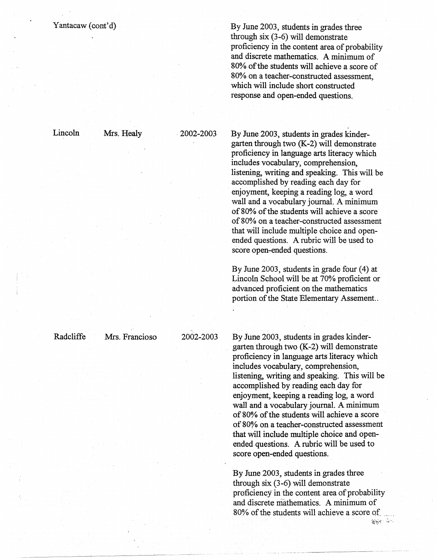## Yantacaw (cont'd)

By June 2003, students in grades three through six (3-6) will demonstrate proficiency in the content area of probability and discrete mathematics. A minimum of 80% of the students will achieve a score of 80% on a teacher-constructed assessment, which will include short constructed response and open-ended questions.

Lincoln Mrs. Healy . 2002-2003

By June 2003, students in grades kindergarten through two (K-2) will demonstrate proficiency in language arts literacy which includes vocabulary, comprehension, listening, writing and speaking. This will be accomplished by reading each day for enjoyment, keeping a reading log, a word wall and a vocabulary journal. A minimum of 80% of the students will achieve a score of 80% on a teacher-constructed assessment that will include multiple choice and openended questions. A rubric will be used to score open-ended questions.

By June 2003, students in grade four (4) at Lincoln School will be at 70% proficient or advanced proficient on the mathematics portion of the State Elementary Assement...

By June 2003, students in grades kindergarten through two (K-2) will demonstrate proficiency in language arts literacy which includes vocabulary, comprehension, listening, writing and speaking. This will be accomplished by reading each day for enjoyment, keeping a reading log, a word wall and a vocabulary journal. A minimum of80% of the students will achieve a score of 80¾ on a teacher-constructed assessment that will include multiple choice and openended questions. A rubric will be used to score open-ended questions.

By June 2003, students in grades three through six (3-6) will demonstrate proficiency in the content area of probability and discrete mathematics. A minimum of 80% of the students will achieve a score of  $\sum_{i=1}^n\sum_{j=1}^n\sum_{j=1}^n\sum_{j=1}^n\sum_{j=1}^n\sum_{j=1}^n\sum_{j=1}^n\sum_{j=1}^n\sum_{j=1}^n\sum_{j=1}^n\sum_{j=1}^n\sum_{j=1}^n\sum_{j=1}^n\sum_{j=1}^n\sum_{j=1}^n\sum_{j=1}^n\sum_{j=1}^n\sum_{j=1}^n\sum_{j=1}^n\sum_{j=1}^n\sum_{j=1}^n\sum_{j=1}^n\sum_{j=1}^n\sum_{j=1}^n\sum_{j$ 

Radcliffe Mrs. Francioso 2002-2003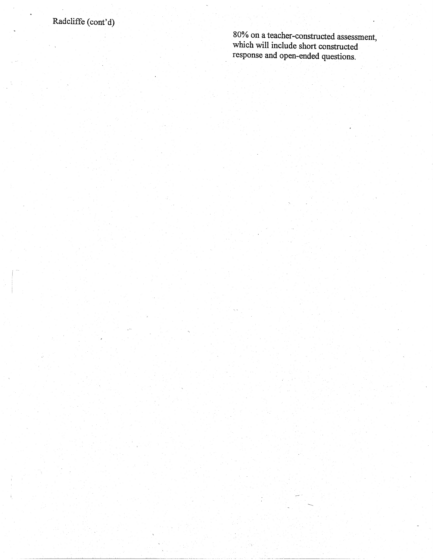80% on a teacher-constructed assessment, which will include short constructed response and open~ended questions.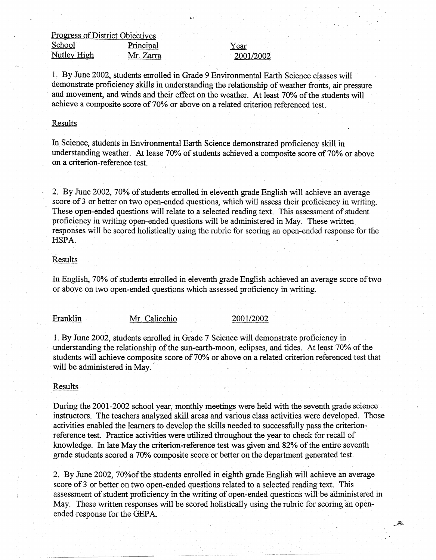Progress of District Objectives School Principal Nutley High Mr. Zarra

Year 2001/2002

1. By June 2002, students enrolled in Grade 9 Environmental Earth Science classes will demonstrate proficiency skills in understanding the relationship of weather fronts, air pressure and movement, and winds and their effect on the weather. At least 70% of the students will achieve a composite score of 70% or above on a related criterion referenced test.

#### Results

In Science, students in Environmental Earth Science demonstrated proficiency skill in understanding weather. At lease 70% of students achieved a composite score of 70% or above on a criterion-reference test.

2. By June 2002, 70% of students enrolled in eleventh grade English will achieve an average score of 3 or better on two open-ended questions, which will assess their proficiency in writing. These open-ended questions will relate to a selected reading text. This assessment of student proficiency in writing open-ended questions will be administered in May. These written responses will be scored holistically using the rubric for scoring an open-ended response for the HSPA.

#### Results

In English, 70% of students enrolled in eleventh grade English achieved an average score of two or above on two open-ended questions which assessed proficiency in writing.

# Franklin Mr. Calicchio 2001/2002

1. By June 2002, students enrolled in Grade 7 Science will demonstrate proficiency in understanding the relationship of the sun-earth-moon, eclipses, and tides. At least 70% of the students will achieve composite score of 70% or above on a related criterion referenced test that will be administered in May.

### Results

During the 2001-2002 school year, monthly meetings were held with the seventh grade science instructors. The teachers analyzed skill areas and various class activities were developed. Those activities enabled the learners to develop the skills needed to successfully pass the criterionreference test. Practice activities were utilized throughout the year to check for recall of knowledge. In late May the criterion-reference test was given and 82% of the entire seventh grade students scored a 70% composite score or better on the department generated test.

2. By June 2002, 70%ofthe students enrolled in eighth grade English will achieve an average score of 3 or better on two open-ended questions related to a selected reading text. This assessment of student proficiency in the writing of open-ended questions will be administered in May. These written responses will be scored holistically using the rubric for scoring an openended response for the GEPA.

---~-:::.· *...*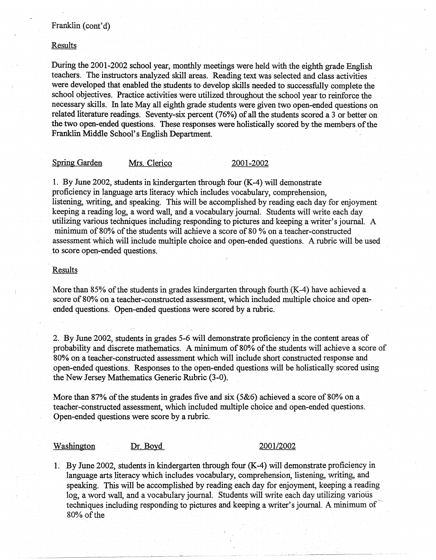# Franklin (cont'd)

## Results

. During the 2001-2002 school year, monthly meetings were held with the eighth grade English teachers. The instructors analyzed skill areas. Reading text was selected and class activities were developed that enabled the students to develop skills needed to successfully complete the school objectives. Practice activities were utilized throughout the school year to reinforce the necessary skills. In late May all eighth grade students were given two open-ended questions on related literature readings. Seventy-six percent (76%) of all the students scored a 3 or better on the two open-ended questions. These responses were holistically scored by the members of the Franklin Middle School's English Department. ·

## Spring Garden Mrs. Clerico 2001-2002

I. By June 2002, students in kindergarten through four (K-4) will demonstrate proficiency in language arts literacy which includes vocabulary, comprehension, listening, writing, and speaking. This will be accomplished by reading each day for enjoyment keeping a reading log, a word wall, and a vocabulary journal. Students will write each day utilizing various techniques including responding to pictures and keeping a writer's journal. A minimum of80% of the students will achieve a score of 80 % on a teacher-constructed assessment which will include multiple choice and open-ended questions. Arubric will be used to score open-ended questions.

# Results

More than 85% of the students in grades kindergarten through fourth (K-4) have achieved a. score of 80% on a teacher-constructed assessment, which included multiple choice and openended questions. Open-ended questions were scored by a rubric.

2. By June 2002, students in grades 5-6 will demonstrate proficiency in the content areas of probability and discrete mathematics. A minimum of 80% of the students will achieve a score of 80% on a teacher-constructed assessment which will include short constructed response and open-ended questions. Responses to the open-ended questions will be holistically scored using the New Jersey Mathematics Generic Rubric (3-0).

More than 87% of the students in grades five and six (5&6) achieved a score of 80% on a teacher-constructed assessment, which included multiple choice and open-ended questions. Open~ended questions were score by a rubric.

### Washington Dr. Boyd 2001/2002

I. By June 2002, students in kindergarten through four (K-4) will demonstrate proficiency in language arts literacy which includes vocabulary, comprehension, listening, writing, and speaking. This will be accomplished by reading each day for enjoyment, keeping a reading log, a word wall, and a vocabulary journal. Students will write each day utilizing various techniques including responding to pictures and keeping a writer's journal. A minimum of 80% of the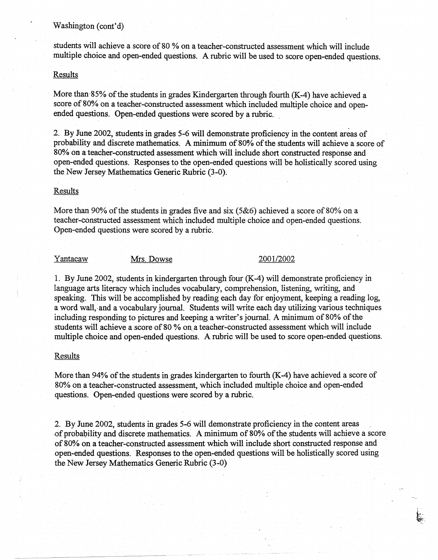### Washington (cont'd)

students will achieve a score of 80 % on a teacher-constructed assessment which will include multiple choice and open-ended questions. A rubric will be used to score open-ended questions.

## Results

More than  $85\%$  of the students in grades Kindergarten through fourth (K-4) have achieved a score of 80% on a teacher-constructed assessment which included multiple choice and openended questions. Open-ended questions were scored by a rubric.

2. By June 2002, students in grades 5-6 will demonstrate proficiency in the content areas of probability and discrete mathematics. A minimum of 80% of the students will achieve a· score of 80% on a teacher-constructed assessment which will include short constructed response and open-ended questions. Responses to the open-ended questions will be holistically scored using · the New Jersey Mathematics Generic Rubric (3-0).

### Results

More than 90% of the students in grades five and six (5&6) achieved a score of 80% on a teacher-constructed assessment which included multiple choice and open-ended questions. Open-ended questions were scored by a rubric.

Yantacaw Mrs. Dowse 2001/2002

 $\epsilon_{\rm grav}$  .

1. By June 2002, students in kindergarten through four (K-4) will demonstrate proficiency in language arts literacy which includes vocabulary, comprehension, listening, writing, and speaking. This will be accomplished by reading each day for enjoyment, keeping a reading log, a word wall, and a vocabulary journal. Students will write each day utilizing various techniques including responding to pictures and keeping a writer's journal. A minimum of 80% of the students will achieve a score of 80 % on a teacher-constructed assessment which will include multiple choice and open-ended questions. A rubric will be used to score open-ended questions.

#### **Results**

More than 94% of the students in grades kindergarten to fourth (K-4) have achieved a score of 80% on a teacher-constructed assessment, which included multiple choice and open-ended questions. Open-endeq questions were scored by a rubric.

2. By June 2002, students in grades 5-6 will demonstrate proficiency in the content areas -0f probal}ility and discrete mathematics: A minimum of 80% of the students will achieve a score of80% on a teacher-constructed assessment which will include short constructed response and open-ended questions. Responses to the open-ended questions will be holistically scored using the New Jersey Mathematics Generic Rubric (3-0)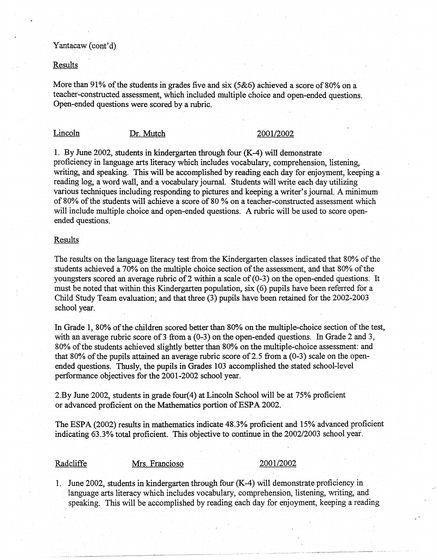## Yantacaw (cont'd)

### Results

More than 91% of the students in grades five and six (5&6) achieved a score of 80% on a teacher-constructed assessment, which included multiple choice and open-ended questions. Open-ended questions were scored by a rubric.

# Lincoln Dr. Mutch 2001/2002

1. By June 2002, students in kindergarten through four (K-4) will demonstrate proficiency in language arts literacy which includes vocabulary, comprehension, listening, writing, and speaking. This will be accomplished by reading each day for enjoyment, keeping a reading log, a word wall, and a vocabulary journal. Students will write each day utilizing various techniques including responding to pictures and keeping a writer's journal. A minimum of 80% of the students will achieve a score of 80 % on a teacher-constructed assessment which will include multiple choice and open-ended questions. A rubric will be used to score openended questions.

### Results

The results on the language literacy test from the Kindergarten classes indicated that 80% of the students achieved a 70% on the multiple choice section of the assessment, and that 80% of the youngsters scored an average rubric of 2 within a scale of (0-3) on the open-ended questions. It must be noted that within this Kindergarten population,  $six(6)$  pupils have been referred for a Child Study Team evaluation; and that three (3) pupils have been retained for the 2002-2003 school year.

In Grade 1, 80% of the children scored better than 80% on the multiple-choice section of the test, with an average rubric score of 3 from a  $(0-3)$  on the open-ended questions. In Grade 2 and 3, 80% of the students achieved slightly better than 80% on the multiple-choice assessment: and that 80% of the pupils attained an average rubric score of 2.5 from a  $(0-3)$  scale on the openended questions. Thusly, the pupils in Grades 103 accomplished the stated school-level performance objectives for the 2001-2002 school year.

2.By June-2002, students in grade four(4) at Lincoln School will be at 75% proficient or advanced proficient on the Mathematics portion of ESPA 2002.

The ESPA (2002) results in mathematics indicate 48.3% proficient and 15% advanced proficient indicating 63 .3% total proficient. This objective to continue in the 2002/2003 school year.

### Radcliffe Mrs. Francioso 2001/2002

1. June 2002, students in kindergarten through four (K-4) will demonstrate proficiency in language arts literacy which includes vocabulary, comprehension, listening, writing, and speaking. This will be accomplished by reading each day for enjoyment, keeping a reading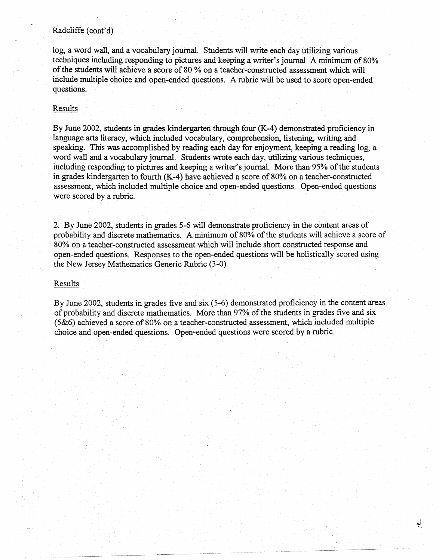# Radcliffe (cont'd)

log, a word wall, and a vocabulary journal. Students will write each day utilizing various techniques including responding to pictures and keeping a writer's journal. A minimum of 80% of the students will achieve a score of 80 % on a teacher-constructed assessment which will include multiple choice and open-ended questions. A rubric will be used to score open-ended questions.

### Results

By June 2002, students in grades kindergarten through four (K-4) demonstrated proficiency in language arts literacy, which included vocabulary, comprehension, listening, writing and speaking. This was accomplished by reading each day for enjoyment, keeping a reading log, a word wall and a vocabulary journal. Students wrote each day, utilizing various techniques, including responding to pictures and keeping a writer's journal. More than 95% of the students in grades kindergarten to fourth (K-4) have achieved a score of 80% on a teacher-constructed assessment, which included multiple choice and open-ended questions. Open-ended questions were scored by a rubric.

2. By June 2002, students in grades 5-6 will demonstrate proficiency in the content areas of probability and discrete mathematics. A minimum of 80% of the students will achieve a score of 80% on a teacher-constructed assessment which will include short constructed response and open-ended questions. Responses to the open-ended questions will be holistically scored using the New Jersey Mathematics Generic Rubric (3-0)

#### Results

By June 2002, students in grades five and six (5-6) demonstrated proficiency in the content areas of probability and discrete mathematics. More than 97% of the students in grades five and six (5&6) achieved a score of 80% on a teacher-constructed assessment, which included multiple choice and open-ended questions. Open'-ended questions were scored by a rubric.

--------··----- - -